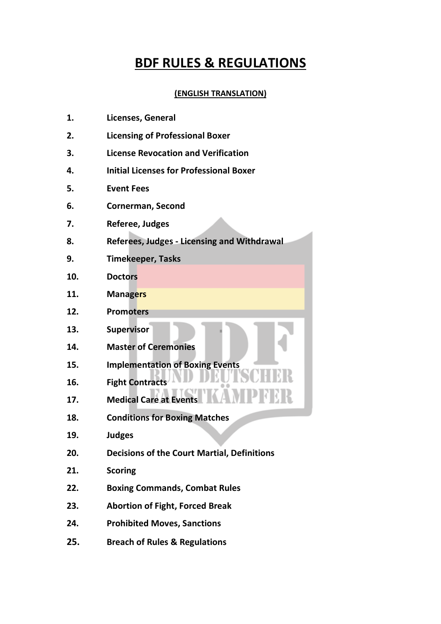## **BDF RULES & REGULATIONS**

#### **(ENGLISH TRANSLATION)**

| 1. | Licenses, General |  |
|----|-------------------|--|
|    |                   |  |

- **2. Licensing of Professional Boxer**
- **3. License Revocation and Verification**
- **4. Initial Licenses for Professional Boxer**
- **5. Event Fees**
- **6. Cornerman, Second**
- **7. Referee, Judges**
- **8. Referees, Judges - Licensing and Withdrawal**
- **9. Timekeeper, Tasks**
- **10. Doctors**
- **11. Managers**
- **12. Promoters**
- **13. Supervisor**
- **14. Master of Ceremonies**
- **15. Implementation of Boxing Events**
- **16. Fight Contracts**
- **17. Medical Care at Events**
- **18. Conditions for Boxing Matches**
- **19. Judges**
- **20. Decisions of the Court Martial, Definitions**
- **21. Scoring**
- **22. Boxing Commands, Combat Rules**
- **23. Abortion of Fight, Forced Break**
- **24. Prohibited Moves, Sanctions**
- **25. Breach of Rules & Regulations**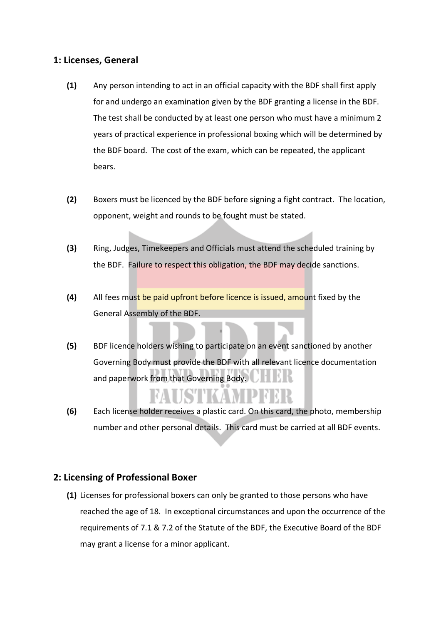#### **1: Licenses, General**

- **(1)** Any person intending to act in an official capacity with the BDF shall first apply for and undergo an examination given by the BDF granting a license in the BDF. The test shall be conducted by at least one person who must have a minimum 2 years of practical experience in professional boxing which will be determined by the BDF board. The cost of the exam, which can be repeated, the applicant bears.
- **(2)** Boxers must be licenced by the BDF before signing a fight contract. The location, opponent, weight and rounds to be fought must be stated.
- **(3)** Ring, Judges, Timekeepers and Officials must attend the scheduled training by the BDF. Failure to respect this obligation, the BDF may decide sanctions.
- **(4)** All fees must be paid upfront before licence is issued, amount fixed by the General Assembly of the BDF.
- **(5)** BDF licence holders wishing to participate on an event sanctioned by another Governing Body must provide the BDF with all relevant licence documentation and paperwork from that Governing Body.
- **(6)** Each license holder receives a plastic card. On this card, the photo, membership number and other personal details. This card must be carried at all BDF events.

### **2: Licensing of Professional Boxer**

**(1)** Licenses for professional boxers can only be granted to those persons who have reached the age of 18. In exceptional circumstances and upon the occurrence of the requirements of 7.1 & 7.2 of the Statute of the BDF, the Executive Board of the BDF may grant a license for a minor applicant.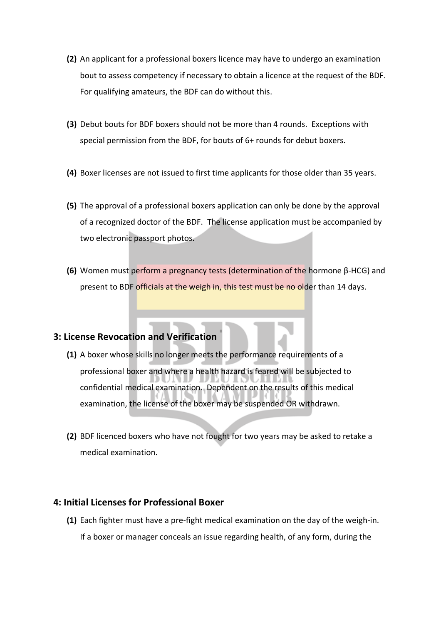- **(2)** An applicant for a professional boxers licence may have to undergo an examination bout to assess competency if necessary to obtain a licence at the request of the BDF. For qualifying amateurs, the BDF can do without this.
- **(3)** Debut bouts for BDF boxers should not be more than 4 rounds. Exceptions with special permission from the BDF, for bouts of 6+ rounds for debut boxers.
- **(4)** Boxer licenses are not issued to first time applicants for those older than 35 years.
- **(5)** The approval of a professional boxers application can only be done by the approval of a recognized doctor of the BDF. The license application must be accompanied by two electronic passport photos.
- **(6)** Women must perform a pregnancy tests (determination of the hormone β-HCG) and present to BDF officials at the weigh in, this test must be no older than 14 days.

### **3: License Revocation and Verification**

- **(1)** A boxer whose skills no longer meets the performance requirements of a professional boxer and where a health hazard is feared will be subjected to confidential medical examination. Dependent on the results of this medical examination, the license of the boxer may be suspended OR withdrawn.
- **(2)** BDF licenced boxers who have not fought for two years may be asked to retake a medical examination.

#### **4: Initial Licenses for Professional Boxer**

**(1)** Each fighter must have a pre-fight medical examination on the day of the weigh-in. If a boxer or manager conceals an issue regarding health, of any form, during the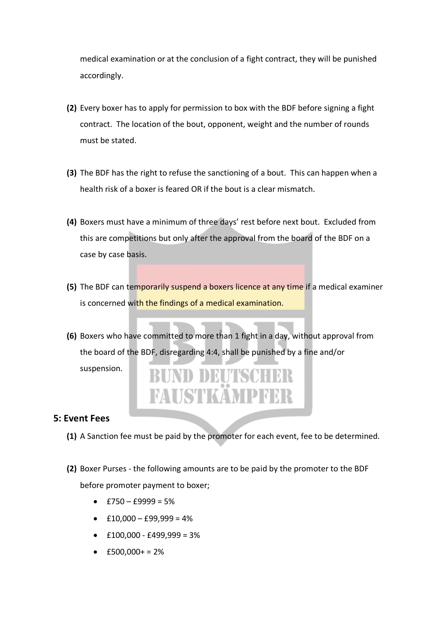medical examination or at the conclusion of a fight contract, they will be punished accordingly.

- **(2)** Every boxer has to apply for permission to box with the BDF before signing a fight contract. The location of the bout, opponent, weight and the number of rounds must be stated.
- **(3)** The BDF has the right to refuse the sanctioning of a bout. This can happen when a health risk of a boxer is feared OR if the bout is a clear mismatch.
- **(4)** Boxers must have a minimum of three days' rest before next bout. Excluded from this are competitions but only after the approval from the board of the BDF on a case by case basis.
- **(5)** The BDF can temporarily suspend a boxers licence at any time if a medical examiner is concerned with the findings of a medical examination.
- **(6)** Boxers who have committed to more than 1 fight in a day, without approval from the board of the BDF, disregarding 4:4, shall be punished by a fine and/or

suspension.



#### **5: Event Fees**

- **(1)** A Sanction fee must be paid by the promoter for each event, fee to be determined.
- **(2)** Boxer Purses the following amounts are to be paid by the promoter to the BDF before promoter payment to boxer;
	- $\bullet$  £750 £9999 = 5%
	- $\text{£}10,000 \text{£}99,999 = 4\%$
	- $\text{£}100,000 £499,999 = 3\%$
	- $£500,000+ = 2%$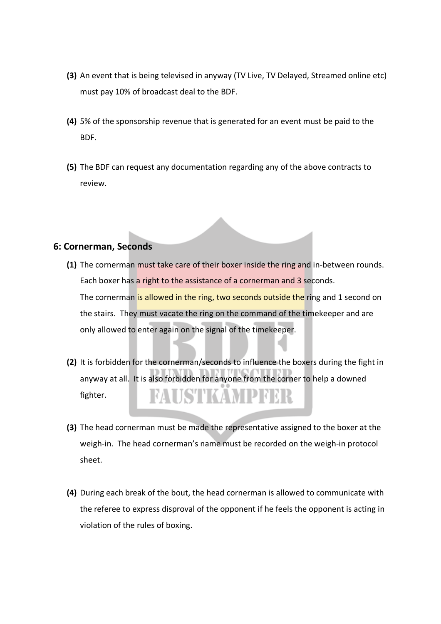- **(3)** An event that is being televised in anyway (TV Live, TV Delayed, Streamed online etc) must pay 10% of broadcast deal to the BDF.
- **(4)** 5% of the sponsorship revenue that is generated for an event must be paid to the BDF.
- **(5)** The BDF can request any documentation regarding any of the above contracts to review.

#### **6: Cornerman, Seconds**

- **(1)** The cornerman must take care of their boxer inside the ring and in-between rounds. Each boxer has a right to the assistance of a cornerman and 3 seconds. The cornerman is allowed in the ring, two seconds outside the ring and 1 second on the stairs. They must vacate the ring on the command of the timekeeper and are only allowed to enter again on the signal of the timekeeper.
- **(2)** It is forbidden for the cornerman/seconds to influence the boxers during the fight in anyway at all. It is also forbidden for anyone from the corner to help a downed FAUSTKAMPFER fighter.
- **(3)** The head cornerman must be made the representative assigned to the boxer at the weigh-in. The head cornerman's name must be recorded on the weigh-in protocol sheet.
- **(4)** During each break of the bout, the head cornerman is allowed to communicate with the referee to express disproval of the opponent if he feels the opponent is acting in violation of the rules of boxing.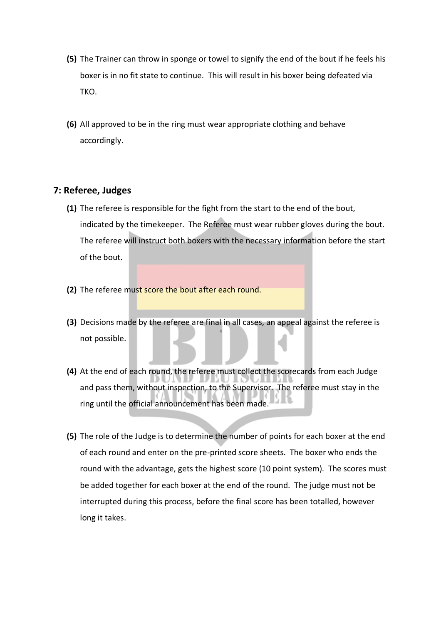- **(5)** The Trainer can throw in sponge or towel to signify the end of the bout if he feels his boxer is in no fit state to continue. This will result in his boxer being defeated via TKO.
- **(6)** All approved to be in the ring must wear appropriate clothing and behave accordingly.

#### **7: Referee, Judges**

- **(1)** The referee is responsible for the fight from the start to the end of the bout, indicated by the timekeeper. The Referee must wear rubber gloves during the bout. The referee will instruct both boxers with the necessary information before the start of the bout.
- **(2)** The referee must score the bout after each round.
- **(3)** Decisions made by the referee are final in all cases, an appeal against the referee is not possible.
- **(4)** At the end of each round, the referee must collect the scorecards from each Judge and pass them, without inspection, to the Supervisor. The referee must stay in the ring until the official announcement has been made.
- **(5)** The role of the Judge is to determine the number of points for each boxer at the end of each round and enter on the pre-printed score sheets. The boxer who ends the round with the advantage, gets the highest score (10 point system). The scores must be added together for each boxer at the end of the round. The judge must not be interrupted during this process, before the final score has been totalled, however long it takes.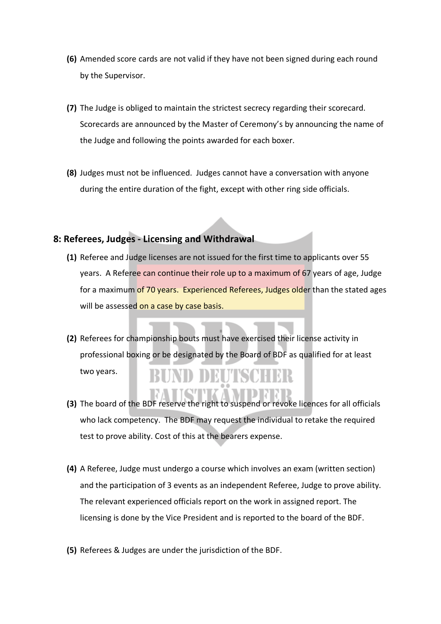- **(6)** Amended score cards are not valid if they have not been signed during each round by the Supervisor.
- **(7)** The Judge is obliged to maintain the strictest secrecy regarding their scorecard. Scorecards are announced by the Master of Ceremony's by announcing the name of the Judge and following the points awarded for each boxer.
- **(8)** Judges must not be influenced. Judges cannot have a conversation with anyone during the entire duration of the fight, except with other ring side officials.

#### **8: Referees, Judges - Licensing and Withdrawal**

- **(1)** Referee and Judge licenses are not issued for the first time to applicants over 55 years. A Referee can continue their role up to a maximum of 67 years of age, Judge for a maximum of 70 years. Experienced Referees, Judges older than the stated ages will be assessed on a case by case basis.
- **(2)** Referees for championship bouts must have exercised their license activity in professional boxing or be designated by the Board of BDF as qualified for at least

two years.

- **(3)** The board of the BDF reserve the right to suspend or revoke licences for all officials who lack competency. The BDF may request the individual to retake the required test to prove ability. Cost of this at the bearers expense.
- **(4)** A Referee, Judge must undergo a course which involves an exam (written section) and the participation of 3 events as an independent Referee, Judge to prove ability. The relevant experienced officials report on the work in assigned report. The licensing is done by the Vice President and is reported to the board of the BDF.
- **(5)** Referees & Judges are under the jurisdiction of the BDF.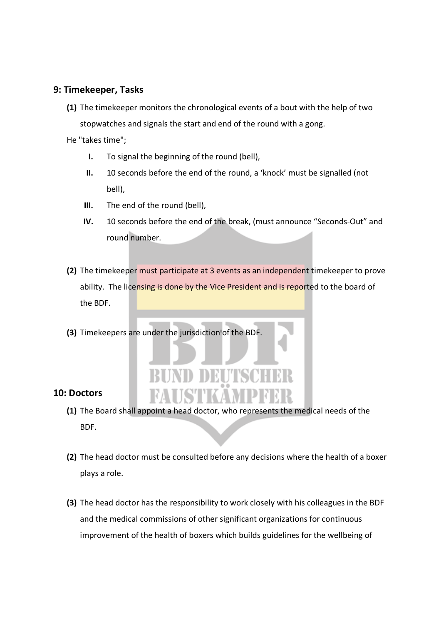#### **9: Timekeeper, Tasks**

**(1)** The timekeeper monitors the chronological events of a bout with the help of two stopwatches and signals the start and end of the round with a gong.

He "takes time";

- **I.** To signal the beginning of the round (bell),
- **II.** 10 seconds before the end of the round, a 'knock' must be signalled (not bell),
- **III.** The end of the round (bell),
- **IV.** 10 seconds before the end of the break, (must announce "Seconds-Out" and round number.
- **(2)** The timekeeper must participate at 3 events as an independent timekeeper to prove ability. The licensing is done by the Vice President and is reported to the board of the BDF.
- **(3)** Timekeepers are under the jurisdiction of the BDF.

# ND DEUTSCI FAUSTKAMPF

#### **10: Doctors**

- **(1)** The Board shall appoint a head doctor, who represents the medical needs of the BDF.
- **(2)** The head doctor must be consulted before any decisions where the health of a boxer plays a role.
- **(3)** The head doctor has the responsibility to work closely with his colleagues in the BDF and the medical commissions of other significant organizations for continuous improvement of the health of boxers which builds guidelines for the wellbeing of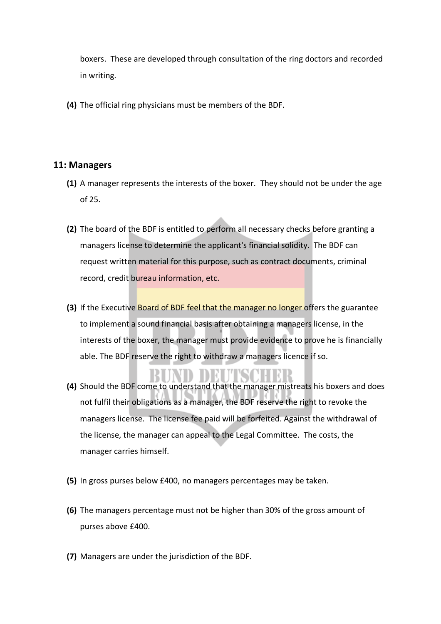boxers. These are developed through consultation of the ring doctors and recorded in writing.

**(4)** The official ring physicians must be members of the BDF.

#### **11: Managers**

- **(1)** A manager represents the interests of the boxer. They should not be under the age of 25.
- **(2)** The board of the BDF is entitled to perform all necessary checks before granting a managers license to determine the applicant's financial solidity. The BDF can request written material for this purpose, such as contract documents, criminal record, credit bureau information, etc.
- **(3)** If the Executive Board of BDF feel that the manager no longer offers the guarantee to implement a sound financial basis after obtaining a managers license, in the interests of the boxer, the manager must provide evidence to prove he is financially able. The BDF reserve the right to withdraw a managers licence if so.

- **(4)** Should the BDF come to understand that the manager mistreats his boxers and does not fulfil their obligations as a manager, the BDF reserve the right to revoke the managers license. The license fee paid will be forfeited. Against the withdrawal of the license, the manager can appeal to the Legal Committee. The costs, the manager carries himself.
- **(5)** In gross purses below £400, no managers percentages may be taken.
- **(6)** The managers percentage must not be higher than 30% of the gross amount of purses above £400.
- **(7)** Managers are under the jurisdiction of the BDF.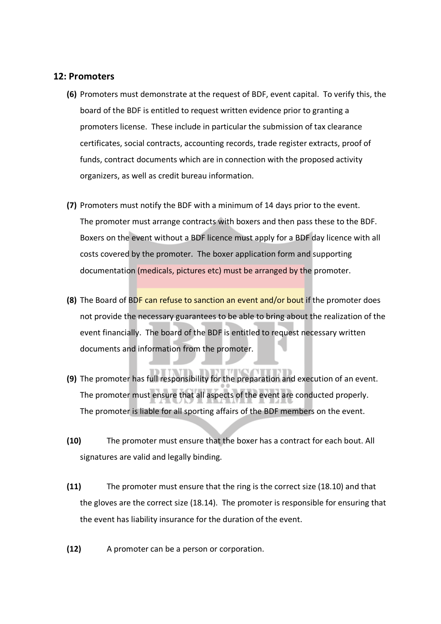#### **12: Promoters**

- **(6)** Promoters must demonstrate at the request of BDF, event capital. To verify this, the board of the BDF is entitled to request written evidence prior to granting a promoters license. These include in particular the submission of tax clearance certificates, social contracts, accounting records, trade register extracts, proof of funds, contract documents which are in connection with the proposed activity organizers, as well as credit bureau information.
- **(7)** Promoters must notify the BDF with a minimum of 14 days prior to the event. The promoter must arrange contracts with boxers and then pass these to the BDF. Boxers on the event without a BDF licence must apply for a BDF day licence with all costs covered by the promoter. The boxer application form and supporting documentation (medicals, pictures etc) must be arranged by the promoter.
- **(8)** The Board of BDF can refuse to sanction an event and/or bout if the promoter does not provide the necessary guarantees to be able to bring about the realization of the event financially. The board of the BDF is entitled to request necessary written documents and information from the promoter.
- **(9)** The promoter has full responsibility for the preparation and execution of an event. The promoter must ensure that all aspects of the event are conducted properly. The promoter is liable for all sporting affairs of the BDF members on the event.
- **(10)** The promoter must ensure that the boxer has a contract for each bout. All signatures are valid and legally binding.
- **(11)** The promoter must ensure that the ring is the correct size (18.10) and that the gloves are the correct size (18.14). The promoter is responsible for ensuring that the event has liability insurance for the duration of the event.
- **(12)** A promoter can be a person or corporation.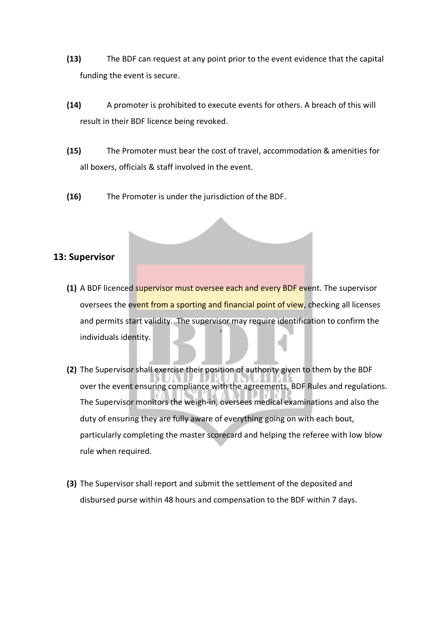- **(13)** The BDF can request at any point prior to the event evidence that the capital funding the event is secure.
- **(14)** A promoter is prohibited to execute events for others. A breach of this will result in their BDF licence being revoked.
- **(15)** The Promoter must bear the cost of travel, accommodation & amenities for all boxers, officials & staff involved in the event.
- **(16)** The Promoter is under the jurisdiction of the BDF.

#### **13: Supervisor**

- **(1)** A BDF licenced supervisor must oversee each and every BDF event. The supervisor oversees the event from a sporting and financial point of view, checking all licenses and permits start validity. The supervisor may require identification to confirm the individuals identity.
- **(2)** The Supervisor shall exercise their position of authority given to them by the BDF over the event ensuring compliance with the agreements, BDF Rules and regulations. The Supervisor monitors the weigh-in, oversees medical examinations and also the duty of ensuring they are fully aware of everything going on with each bout, particularly completing the master scorecard and helping the referee with low blow rule when required.
- **(3)** The Supervisor shall report and submit the settlement of the deposited and disbursed purse within 48 hours and compensation to the BDF within 7 days.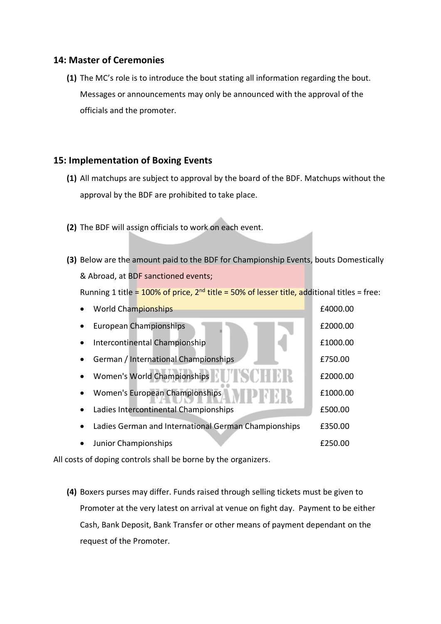#### **14: Master of Ceremonies**

**(1)** The MC's role is to introduce the bout stating all information regarding the bout. Messages or announcements may only be announced with the approval of the officials and the promoter.

#### **15: Implementation of Boxing Events**

- **(1)** All matchups are subject to approval by the board of the BDF. Matchups without the approval by the BDF are prohibited to take place.
- **(2)** The BDF will assign officials to work on each event.
- **(3)** Below are the amount paid to the BDF for Championship Events, bouts Domestically & Abroad, at BDF sanctioned events;

Running 1 title = 100% of price,  $2^{nd}$  title = 50% of lesser title, additional titles = free:

| <b>World Championships</b>                           | £4000.00 |
|------------------------------------------------------|----------|
| <b>European Championships</b>                        | £2000.00 |
| Intercontinental Championship                        | £1000.00 |
| German / International Championships                 | £750.00  |
| Women's World Championships                          | £2000.00 |
| Women's European Championships                       | £1000.00 |
| Ladies Intercontinental Championships                | £500.00  |
| Ladies German and International German Championships | £350.00  |
| Junior Championships                                 | £250.00  |

All costs of doping controls shall be borne by the organizers.

**(4)** Boxers purses may differ. Funds raised through selling tickets must be given to Promoter at the very latest on arrival at venue on fight day. Payment to be either Cash, Bank Deposit, Bank Transfer or other means of payment dependant on the request of the Promoter.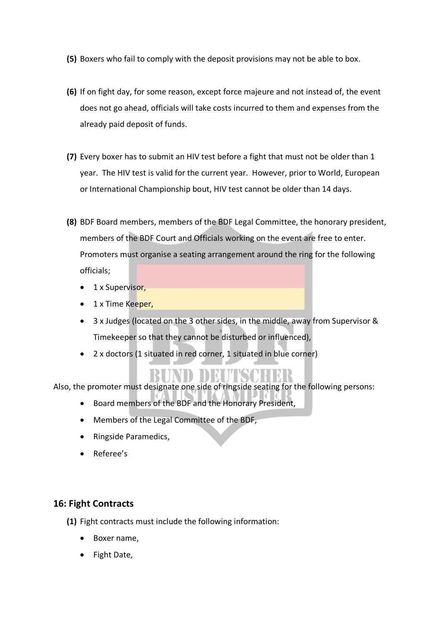- **(5)** Boxers who fail to comply with the deposit provisions may not be able to box.
- **(6)** If on fight day, for some reason, except force majeure and not instead of, the event does not go ahead, officials will take costs incurred to them and expenses from the already paid deposit of funds.
- **(7)** Every boxer has to submit an HIV test before a fight that must not be older than 1 year. The HIV test is valid for the current year. However, prior to World, European or International Championship bout, HIV test cannot be older than 14 days.
- **(8)** BDF Board members, members of the BDF Legal Committee, the honorary president, members of the BDF Court and Officials working on the event are free to enter. Promoters must organise a seating arrangement around the ring for the following officials;
	- 1 x Supervisor,
	- 1 x Time Keeper,
	- 3 x Judges (located on the 3 other sides, in the middle, away from Supervisor & Timekeeper so that they cannot be disturbed or influenced),
	- 2 x doctors (1 situated in red corner, 1 situated in blue corner)

Also, the promoter must designate one side of ringside seating for the following persons:

- Board members of the BDF and the Honorary President,
- Members of the Legal Committee of the BDF,
- Ringside Paramedics,
- Referee's

### **16: Fight Contracts**

**(1)** Fight contracts must include the following information:

- Boxer name,
- Fight Date,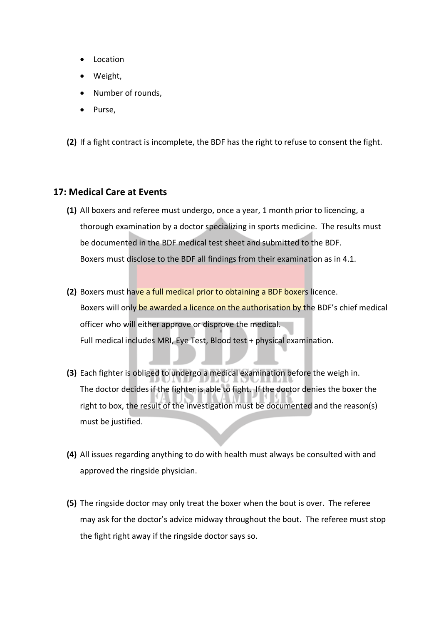- Location
- Weight,
- Number of rounds,
- Purse,

**(2)** If a fight contract is incomplete, the BDF has the right to refuse to consent the fight.

#### **17: Medical Care at Events**

- **(1)** All boxers and referee must undergo, once a year, 1 month prior to licencing, a thorough examination by a doctor specializing in sports medicine. The results must be documented in the BDF medical test sheet and submitted to the BDF. Boxers must disclose to the BDF all findings from their examination as in 4.1.
- **(2)** Boxers must have a full medical prior to obtaining a BDF boxers licence. Boxers will only be awarded a licence on the authorisation by the BDF's chief medical officer who will either approve or disprove the medical. Full medical includes MRI, Eye Test, Blood test + physical examination.
- **(3)** Each fighter is obliged to undergo a medical examination before the weigh in. The doctor decides if the fighter is able to fight. If the doctor denies the boxer the right to box, the result of the investigation must be documented and the reason(s) must be justified.
- **(4)** All issues regarding anything to do with health must always be consulted with and approved the ringside physician.
- **(5)** The ringside doctor may only treat the boxer when the bout is over. The referee may ask for the doctor's advice midway throughout the bout. The referee must stop the fight right away if the ringside doctor says so.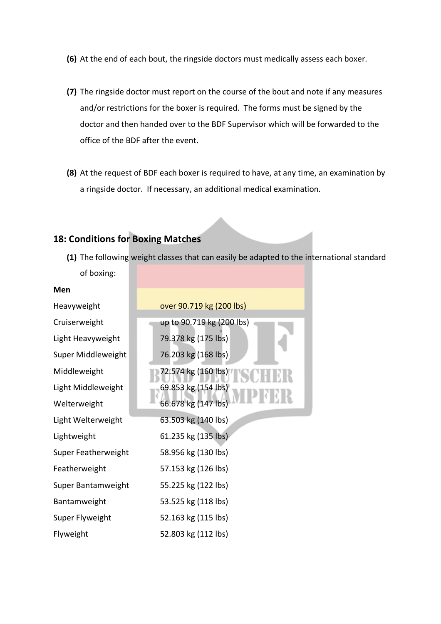- **(6)** At the end of each bout, the ringside doctors must medically assess each boxer.
- **(7)** The ringside doctor must report on the course of the bout and note if any measures and/or restrictions for the boxer is required. The forms must be signed by the doctor and then handed over to the BDF Supervisor which will be forwarded to the office of the BDF after the event.
- **(8)** At the request of BDF each boxer is required to have, at any time, an examination by a ringside doctor. If necessary, an additional medical examination.

### **18: Conditions for Boxing Matches**

**(1)** The following weight classes that can easily be adapted to the international standard of boxing:

| Men                 |                           |
|---------------------|---------------------------|
| Heavyweight         | over 90.719 kg (200 lbs)  |
| Cruiserweight       | up to 90.719 kg (200 lbs) |
| Light Heavyweight   | 79.378 kg (175 lbs)       |
| Super Middleweight  | 76.203 kg (168 lbs)       |
| Middleweight        | 72.574 kg (160 lbs)       |
| Light Middleweight  | 69.853 kg (154 lbs)       |
| Welterweight        | 66.678 kg (147 lbs)       |
| Light Welterweight  | 63.503 kg (140 lbs)       |
| Lightweight         | 61.235 kg (135 lbs)       |
| Super Featherweight | 58.956 kg (130 lbs)       |
| Featherweight       | 57.153 kg (126 lbs)       |
| Super Bantamweight  | 55.225 kg (122 lbs)       |
| Bantamweight        | 53.525 kg (118 lbs)       |
| Super Flyweight     | 52.163 kg (115 lbs)       |
| Flyweight           | 52.803 kg (112 lbs)       |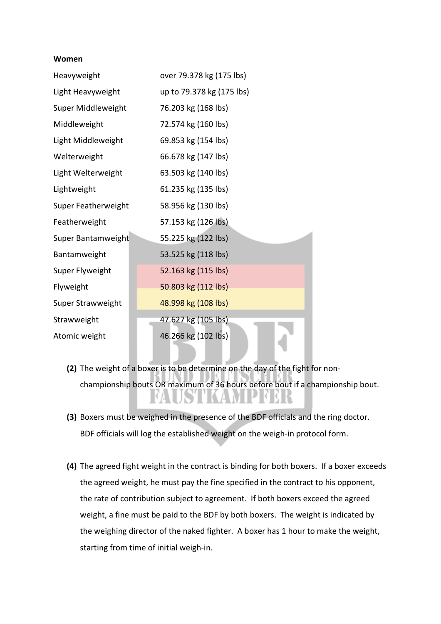#### **Women**

| Heavyweight         | over 79.378 kg (175 lbs)  |
|---------------------|---------------------------|
| Light Heavyweight   | up to 79.378 kg (175 lbs) |
| Super Middleweight  | 76.203 kg (168 lbs)       |
| Middleweight        | 72.574 kg (160 lbs)       |
| Light Middleweight  | 69.853 kg (154 lbs)       |
| Welterweight        | 66.678 kg (147 lbs)       |
| Light Welterweight  | 63.503 kg (140 lbs)       |
| Lightweight         | 61.235 kg (135 lbs)       |
| Super Featherweight | 58.956 kg (130 lbs)       |
| Featherweight       | 57.153 kg (126 lbs)       |
| Super Bantamweight  | 55.225 kg (122 lbs)       |
| Bantamweight        | 53.525 kg (118 lbs)       |
| Super Flyweight     | 52.163 kg (115 lbs)       |
| Flyweight           | 50.803 kg (112 lbs)       |
| Super Strawweight   | 48.998 kg (108 lbs)       |
| Strawweight         | 47.627 kg (105 lbs)       |
| Atomic weight       | 46.266 kg (102 lbs)       |

- **(2)** The weight of a boxer is to be determine on the day of the fight for nonchampionship bouts OR maximum of 36 hours before bout if a championship bout.
- **(3)** Boxers must be weighed in the presence of the BDF officials and the ring doctor. BDF officials will log the established weight on the weigh-in protocol form.
- **(4)** The agreed fight weight in the contract is binding for both boxers. If a boxer exceeds the agreed weight, he must pay the fine specified in the contract to his opponent, the rate of contribution subject to agreement. If both boxers exceed the agreed weight, a fine must be paid to the BDF by both boxers. The weight is indicated by the weighing director of the naked fighter. A boxer has 1 hour to make the weight, starting from time of initial weigh-in.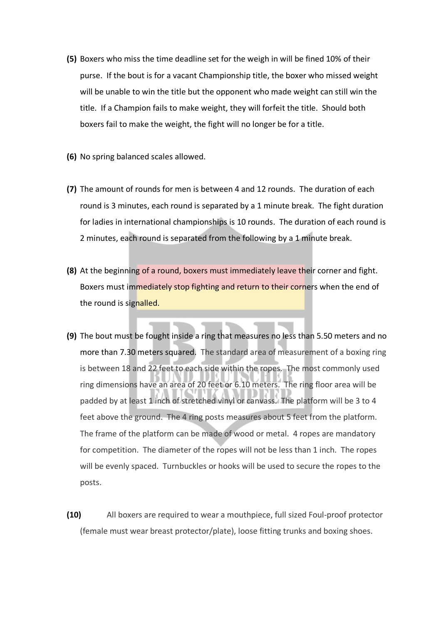- **(5)** Boxers who miss the time deadline set for the weigh in will be fined 10% of their purse. If the bout is for a vacant Championship title, the boxer who missed weight will be unable to win the title but the opponent who made weight can still win the title. If a Champion fails to make weight, they will forfeit the title. Should both boxers fail to make the weight, the fight will no longer be for a title.
- **(6)** No spring balanced scales allowed.
- **(7)** The amount of rounds for men is between 4 and 12 rounds. The duration of each round is 3 minutes, each round is separated by a 1 minute break. The fight duration for ladies in international championships is 10 rounds. The duration of each round is 2 minutes, each round is separated from the following by a 1 minute break.
- **(8)** At the beginning of a round, boxers must immediately leave their corner and fight. Boxers must immediately stop fighting and return to their corners when the end of the round is signalled.
- **(9)** The bout must be fought inside a ring that measures no less than 5.50 meters and no more than 7.30 meters squared. The standard area of measurement of a boxing ring is between 18 and 22 feet to each side within the ropes. The most commonly used ring dimensions have an area of 20 feet or 6.10 meters. The ring floor area will be padded by at least 1 inch of stretched vinyl or canvass. The platform will be 3 to 4 feet above the ground. The 4 ring posts measures about 5 feet from the platform. The frame of the platform can be made of wood or metal. 4 ropes are mandatory for competition. The diameter of the ropes will not be less than 1 inch. The ropes will be evenly spaced. Turnbuckles or hooks will be used to secure the ropes to the posts.
- **(10)** All boxers are required to wear a mouthpiece, full sized Foul-proof protector (female must wear breast protector/plate), loose fitting trunks and boxing shoes.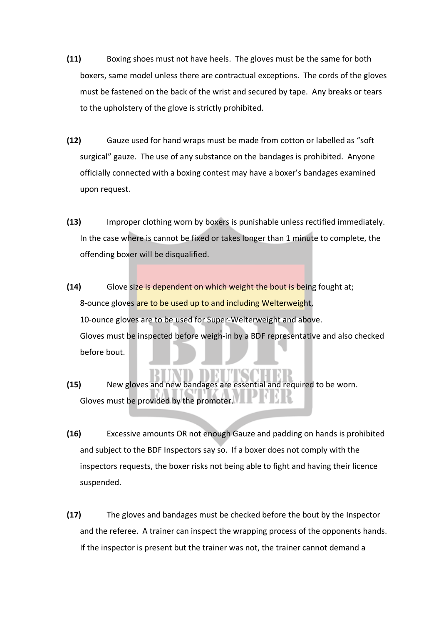- **(11)** Boxing shoes must not have heels. The gloves must be the same for both boxers, same model unless there are contractual exceptions. The cords of the gloves must be fastened on the back of the wrist and secured by tape. Any breaks or tears to the upholstery of the glove is strictly prohibited.
- **(12)** Gauze used for hand wraps must be made from cotton or labelled as "soft surgical" gauze. The use of any substance on the bandages is prohibited. Anyone officially connected with a boxing contest may have a boxer's bandages examined upon request.
- **(13)** Improper clothing worn by boxers is punishable unless rectified immediately. In the case where is cannot be fixed or takes longer than 1 minute to complete, the offending boxer will be disqualified.
- **(14)** Glove size is dependent on which weight the bout is being fought at; 8-ounce gloves are to be used up to and including Welterweight, 10-ounce gloves are to be used for Super-Welterweight and above. Gloves must be inspected before weigh-in by a BDF representative and also checked before bout.
- **(15)** New gloves and new bandages are essential and required to be worn. Gloves must be provided by the promoter.
- **(16)** Excessive amounts OR not enough Gauze and padding on hands is prohibited and subject to the BDF Inspectors say so. If a boxer does not comply with the inspectors requests, the boxer risks not being able to fight and having their licence suspended.
- **(17)** The gloves and bandages must be checked before the bout by the Inspector and the referee. A trainer can inspect the wrapping process of the opponents hands. If the inspector is present but the trainer was not, the trainer cannot demand a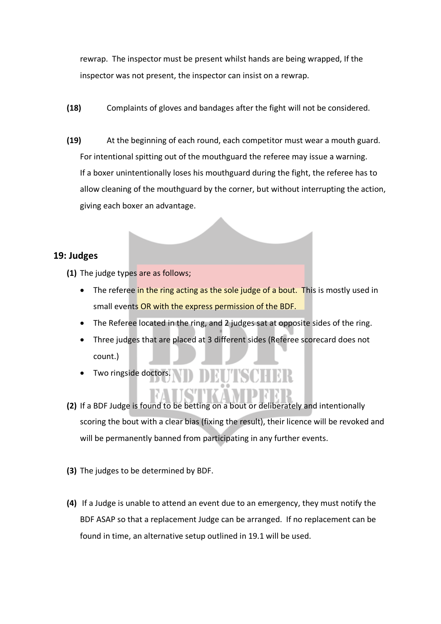rewrap. The inspector must be present whilst hands are being wrapped, If the inspector was not present, the inspector can insist on a rewrap.

- **(18)** Complaints of gloves and bandages after the fight will not be considered.
- **(19)** At the beginning of each round, each competitor must wear a mouth guard. For intentional spitting out of the mouthguard the referee may issue a warning. If a boxer unintentionally loses his mouthguard during the fight, the referee has to allow cleaning of the mouthguard by the corner, but without interrupting the action, giving each boxer an advantage.

#### **19: Judges**

**(1)** The judge types are as follows;

- The referee in the ring acting as the sole judge of a bout. This is mostly used in small events OR with the express permission of the BDF.
- The Referee located in the ring, and 2 judges sat at opposite sides of the ring.
- Three judges that are placed at 3 different sides (Referee scorecard does not count.)
- Two ringside doctors.
- **(2)** If a BDF Judge is found to be betting on a bout or deliberately and intentionally scoring the bout with a clear bias (fixing the result), their licence will be revoked and will be permanently banned from participating in any further events.
- **(3)** The judges to be determined by BDF.
- **(4)** If a Judge is unable to attend an event due to an emergency, they must notify the BDF ASAP so that a replacement Judge can be arranged. If no replacement can be found in time, an alternative setup outlined in 19.1 will be used.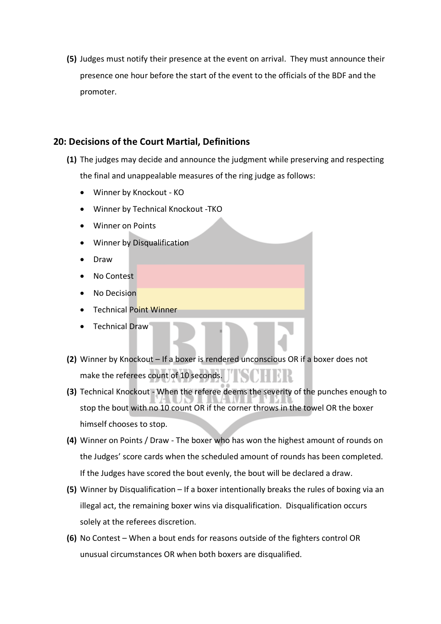**(5)** Judges must notify their presence at the event on arrival. They must announce their presence one hour before the start of the event to the officials of the BDF and the promoter.

#### **20: Decisions of the Court Martial, Definitions**

- **(1)** The judges may decide and announce the judgment while preserving and respecting the final and unappealable measures of the ring judge as follows:
	- Winner by Knockout KO
	- Winner by Technical Knockout -TKO
	- Winner on Points
	- Winner by Disqualification
	- Draw
	- No Contest
	- No Decision
	- Technical Point Winner
	- Technical Draw
- **(2)** Winner by Knockout If a boxer is rendered unconscious OR if a boxer does not INDHEE make the referees count of 10 seconds.
- **(3)** Technical Knockout When the referee deems the severity of the punches enough to stop the bout with no 10 count OR if the corner throws in the towel OR the boxer himself chooses to stop.
- **(4)** Winner on Points / Draw The boxer who has won the highest amount of rounds on the Judges' score cards when the scheduled amount of rounds has been completed. If the Judges have scored the bout evenly, the bout will be declared a draw.
- **(5)** Winner by Disqualification If a boxer intentionally breaks the rules of boxing via an illegal act, the remaining boxer wins via disqualification. Disqualification occurs solely at the referees discretion.
- **(6)** No Contest When a bout ends for reasons outside of the fighters control OR unusual circumstances OR when both boxers are disqualified.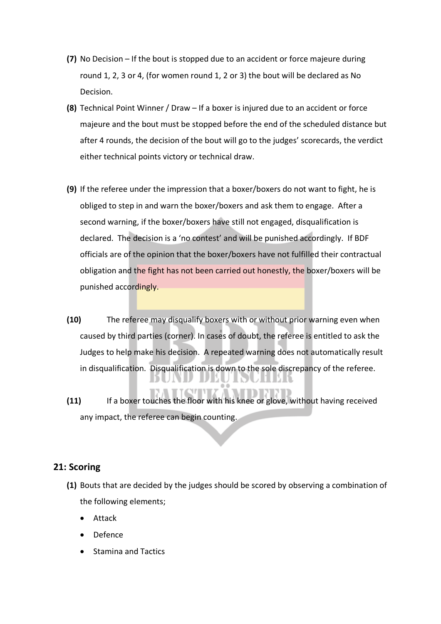- **(7)** No Decision If the bout is stopped due to an accident or force majeure during round 1, 2, 3 or 4, (for women round 1, 2 or 3) the bout will be declared as No Decision.
- **(8)** Technical Point Winner / Draw If a boxer is injured due to an accident or force majeure and the bout must be stopped before the end of the scheduled distance but after 4 rounds, the decision of the bout will go to the judges' scorecards, the verdict either technical points victory or technical draw.
- **(9)** If the referee under the impression that a boxer/boxers do not want to fight, he is obliged to step in and warn the boxer/boxers and ask them to engage. After a second warning, if the boxer/boxers have still not engaged, disqualification is declared. The decision is a 'no contest' and will be punished accordingly. If BDF officials are of the opinion that the boxer/boxers have not fulfilled their contractual obligation and the fight has not been carried out honestly, the boxer/boxers will be punished accordingly.
- **(10)** The referee may disqualify boxers with or without prior warning even when caused by third parties (corner). In cases of doubt, the referee is entitled to ask the Judges to help make his decision. A repeated warning does not automatically result in disqualification. Disqualification is down to the sole discrepancy of the referee.
- **(11)** If a boxer touches the floor with his knee or glove, without having received any impact, the referee can begin counting.

### **21: Scoring**

- **(1)** Bouts that are decided by the judges should be scored by observing a combination of the following elements;
	- Attack
	- Defence
	- Stamina and Tactics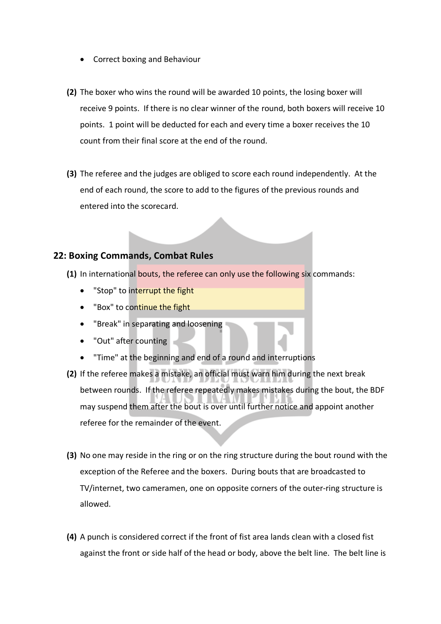- Correct boxing and Behaviour
- **(2)** The boxer who wins the round will be awarded 10 points, the losing boxer will receive 9 points. If there is no clear winner of the round, both boxers will receive 10 points. 1 point will be deducted for each and every time a boxer receives the 10 count from their final score at the end of the round.
- **(3)** The referee and the judges are obliged to score each round independently. At the end of each round, the score to add to the figures of the previous rounds and entered into the scorecard.

#### **22: Boxing Commands, Combat Rules**

- **(1)** In international bouts, the referee can only use the following six commands:
	- "Stop" to interrupt the fight
	- "Box" to continue the fight
	- "Break" in separating and loosening
	- "Out" after counting
	- "Time" at the beginning and end of a round and interruptions
- **(2)** If the referee makes a mistake, an official must warn him during the next break between rounds. If the referee repeatedly makes mistakes during the bout, the BDF may suspend them after the bout is over until further notice and appoint another referee for the remainder of the event.
- **(3)** No one may reside in the ring or on the ring structure during the bout round with the exception of the Referee and the boxers. During bouts that are broadcasted to TV/internet, two cameramen, one on opposite corners of the outer-ring structure is allowed.
- **(4)** A punch is considered correct if the front of fist area lands clean with a closed fist against the front or side half of the head or body, above the belt line. The belt line is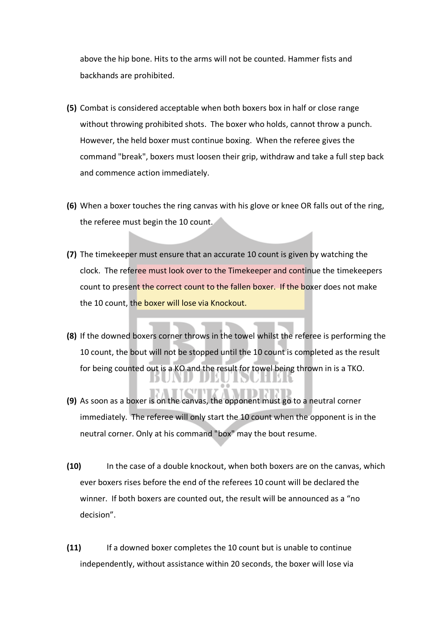above the hip bone. Hits to the arms will not be counted. Hammer fists and backhands are prohibited.

- **(5)** Combat is considered acceptable when both boxers box in half or close range without throwing prohibited shots. The boxer who holds, cannot throw a punch. However, the held boxer must continue boxing. When the referee gives the command "break", boxers must loosen their grip, withdraw and take a full step back and commence action immediately.
- **(6)** When a boxer touches the ring canvas with his glove or knee OR falls out of the ring, the referee must begin the 10 count.
- **(7)** The timekeeper must ensure that an accurate 10 count is given by watching the clock. The referee must look over to the Timekeeper and continue the timekeepers count to present the correct count to the fallen boxer. If the boxer does not make the 10 count, the boxer will lose via Knockout.
- **(8)** If the downed boxers corner throws in the towel whilst the referee is performing the 10 count, the bout will not be stopped until the 10 count is completed as the result for being counted out is a KO and the result for towel being thrown in is a TKO.
- **(9)** As soon as a boxer is on the canvas, the opponent must go to a neutral corner immediately. The referee will only start the 10 count when the opponent is in the neutral corner. Only at his command "box" may the bout resume.
- **(10)** In the case of a double knockout, when both boxers are on the canvas, which ever boxers rises before the end of the referees 10 count will be declared the winner. If both boxers are counted out, the result will be announced as a "no decision".
- **(11)** If a downed boxer completes the 10 count but is unable to continue independently, without assistance within 20 seconds, the boxer will lose via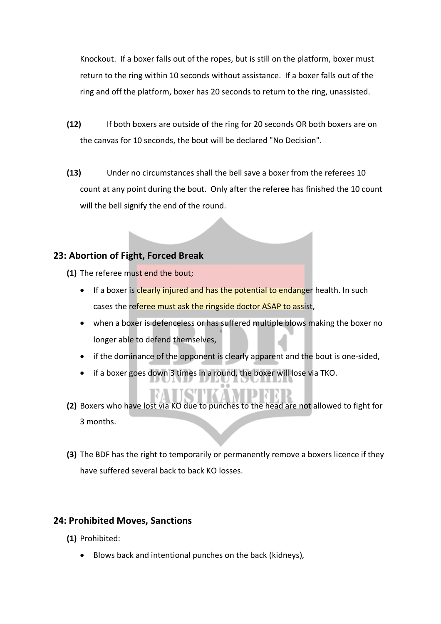Knockout. If a boxer falls out of the ropes, but is still on the platform, boxer must return to the ring within 10 seconds without assistance. If a boxer falls out of the ring and off the platform, boxer has 20 seconds to return to the ring, unassisted.

- **(12)** If both boxers are outside of the ring for 20 seconds OR both boxers are on the canvas for 10 seconds, the bout will be declared "No Decision".
- **(13)** Under no circumstances shall the bell save a boxer from the referees 10 count at any point during the bout. Only after the referee has finished the 10 count will the bell signify the end of the round.

### **23: Abortion of Fight, Forced Break**

- **(1)** The referee must end the bout;
	- If a boxer is clearly injured and has the potential to endanger health. In such cases the referee must ask the ringside doctor ASAP to assist,
	- when a boxer is defenceless or has suffered multiple blows making the boxer no longer able to defend themselves,
	- if the dominance of the opponent is clearly apparent and the bout is one-sided,
	- if a boxer goes down 3 times in a round, the boxer will lose via TKO.
- **(2)** Boxers who have lost via KO due to punches to the head are not allowed to fight for 3 months.
- **(3)** The BDF has the right to temporarily or permanently remove a boxers licence if they have suffered several back to back KO losses.

### **24: Prohibited Moves, Sanctions**

- **(1)** Prohibited:
	- Blows back and intentional punches on the back (kidneys),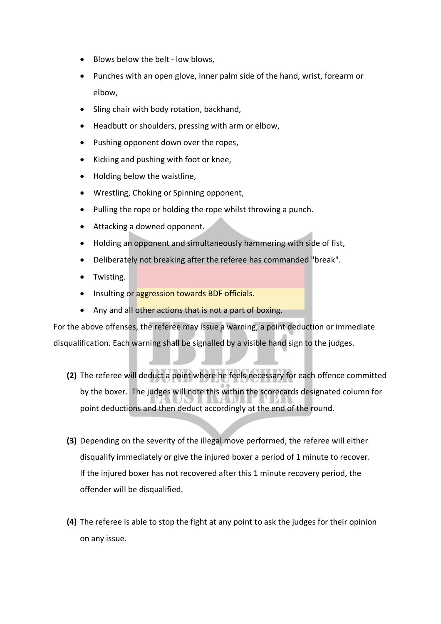- Blows below the belt low blows,
- Punches with an open glove, inner palm side of the hand, wrist, forearm or elbow,
- Sling chair with body rotation, backhand,
- Headbutt or shoulders, pressing with arm or elbow,
- Pushing opponent down over the ropes,
- Kicking and pushing with foot or knee,
- Holding below the waistline,
- Wrestling, Choking or Spinning opponent,
- Pulling the rope or holding the rope whilst throwing a punch.
- Attacking a downed opponent.
- Holding an opponent and simultaneously hammering with side of fist,
- Deliberately not breaking after the referee has commanded "break".
- Twisting.
- Insulting or aggression towards BDF officials.
- Any and all other actions that is not a part of boxing.

For the above offenses, the referee may issue a warning, a point deduction or immediate disqualification. Each warning shall be signalled by a visible hand sign to the judges.

- **(2)** The referee will deduct a point where he feels necessary for each offence committed by the boxer. The judges will note this within the scorecards designated column for point deductions and then deduct accordingly at the end of the round.
- **(3)** Depending on the severity of the illegal move performed, the referee will either disqualify immediately or give the injured boxer a period of 1 minute to recover. If the injured boxer has not recovered after this 1 minute recovery period, the offender will be disqualified.
- **(4)** The referee is able to stop the fight at any point to ask the judges for their opinion on any issue.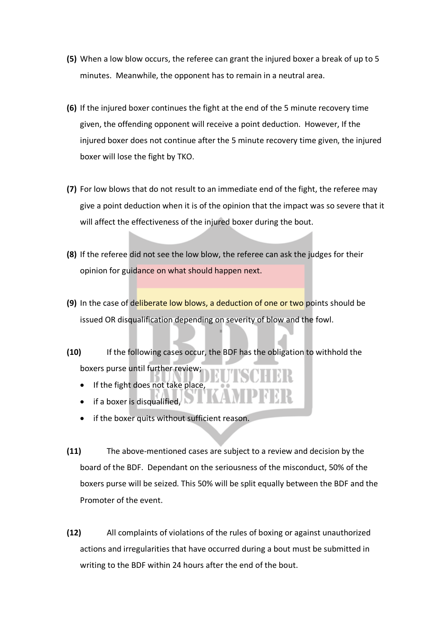- **(5)** When a low blow occurs, the referee can grant the injured boxer a break of up to 5 minutes. Meanwhile, the opponent has to remain in a neutral area.
- **(6)** If the injured boxer continues the fight at the end of the 5 minute recovery time given, the offending opponent will receive a point deduction. However, If the injured boxer does not continue after the 5 minute recovery time given, the injured boxer will lose the fight by TKO.
- **(7)** For low blows that do not result to an immediate end of the fight, the referee may give a point deduction when it is of the opinion that the impact was so severe that it will affect the effectiveness of the injured boxer during the bout.
- **(8)** If the referee did not see the low blow, the referee can ask the judges for their opinion for guidance on what should happen next.
- **(9)** In the case of deliberate low blows, a deduction of one or two points should be issued OR disqualification depending on severity of blow and the fowl.
- **(10)** If the following cases occur, the BDF has the obligation to withhold the boxers purse until further review;
	- If the fight does not take place,
	- if a boxer is disqualified,
	- if the boxer quits without sufficient reason.
- **(11)** The above-mentioned cases are subject to a review and decision by the board of the BDF. Dependant on the seriousness of the misconduct, 50% of the boxers purse will be seized. This 50% will be split equally between the BDF and the Promoter of the event.
- **(12)** All complaints of violations of the rules of boxing or against unauthorized actions and irregularities that have occurred during a bout must be submitted in writing to the BDF within 24 hours after the end of the bout.